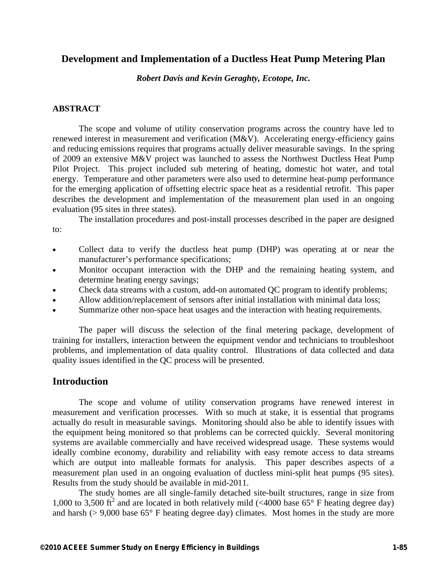## **Development and Implementation of a Ductless Heat Pump Metering Plan**

*Robert Davis and Kevin Geraghty, Ecotope, Inc.* 

#### **ABSTRACT**

The scope and volume of utility conservation programs across the country have led to renewed interest in measurement and verification (M&V). Accelerating energy-efficiency gains and reducing emissions requires that programs actually deliver measurable savings. In the spring of 2009 an extensive M&V project was launched to assess the Northwest Ductless Heat Pump Pilot Project. This project included sub metering of heating, domestic hot water, and total energy. Temperature and other parameters were also used to determine heat-pump performance for the emerging application of offsetting electric space heat as a residential retrofit. This paper describes the development and implementation of the measurement plan used in an ongoing evaluation (95 sites in three states).

The installation procedures and post-install processes described in the paper are designed to:

- Collect data to verify the ductless heat pump (DHP) was operating at or near the manufacturer's performance specifications;
- Monitor occupant interaction with the DHP and the remaining heating system, and determine heating energy savings;
- Check data streams with a custom, add-on automated QC program to identify problems;
- Allow addition/replacement of sensors after initial installation with minimal data loss;
- Summarize other non-space heat usages and the interaction with heating requirements.

The paper will discuss the selection of the final metering package, development of training for installers, interaction between the equipment vendor and technicians to troubleshoot problems, and implementation of data quality control. Illustrations of data collected and data quality issues identified in the QC process will be presented.

### **Introduction**

The scope and volume of utility conservation programs have renewed interest in measurement and verification processes. With so much at stake, it is essential that programs actually do result in measurable savings. Monitoring should also be able to identify issues with the equipment being monitored so that problems can be corrected quickly. Several monitoring systems are available commercially and have received widespread usage. These systems would ideally combine economy, durability and reliability with easy remote access to data streams which are output into malleable formats for analysis. This paper describes aspects of a measurement plan used in an ongoing evaluation of ductless mini-split heat pumps (95 sites). Results from the study should be available in mid-2011.

The study homes are all single-family detached site-built structures, range in size from 1,000 to 3,500  $\text{ft}^2$  and are located in both relatively mild (<4000 base 65° F heating degree day) and harsh ( $> 9,000$  base 65° F heating degree day) climates. Most homes in the study are more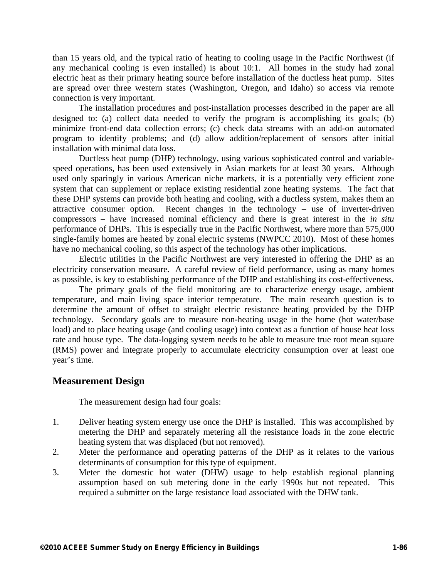than 15 years old, and the typical ratio of heating to cooling usage in the Pacific Northwest (if any mechanical cooling is even installed) is about 10:1. All homes in the study had zonal electric heat as their primary heating source before installation of the ductless heat pump. Sites are spread over three western states (Washington, Oregon, and Idaho) so access via remote connection is very important.

The installation procedures and post-installation processes described in the paper are all designed to: (a) collect data needed to verify the program is accomplishing its goals; (b) minimize front-end data collection errors; (c) check data streams with an add-on automated program to identify problems; and (d) allow addition/replacement of sensors after initial installation with minimal data loss.

Ductless heat pump (DHP) technology, using various sophisticated control and variablespeed operations, has been used extensively in Asian markets for at least 30 years. Although used only sparingly in various American niche markets, it is a potentially very efficient zone system that can supplement or replace existing residential zone heating systems. The fact that these DHP systems can provide both heating and cooling, with a ductless system, makes them an attractive consumer option. Recent changes in the technology – use of inverter-driven compressors – have increased nominal efficiency and there is great interest in the *in situ* performance of DHPs. This is especially true in the Pacific Northwest, where more than 575,000 single-family homes are heated by zonal electric systems (NWPCC 2010). Most of these homes have no mechanical cooling, so this aspect of the technology has other implications.

Electric utilities in the Pacific Northwest are very interested in offering the DHP as an electricity conservation measure. A careful review of field performance, using as many homes as possible, is key to establishing performance of the DHP and establishing its cost-effectiveness.

The primary goals of the field monitoring are to characterize energy usage, ambient temperature, and main living space interior temperature. The main research question is to determine the amount of offset to straight electric resistance heating provided by the DHP technology. Secondary goals are to measure non-heating usage in the home (hot water/base load) and to place heating usage (and cooling usage) into context as a function of house heat loss rate and house type. The data-logging system needs to be able to measure true root mean square (RMS) power and integrate properly to accumulate electricity consumption over at least one year's time.

### **Measurement Design**

The measurement design had four goals:

- 1. Deliver heating system energy use once the DHP is installed. This was accomplished by metering the DHP and separately metering all the resistance loads in the zone electric heating system that was displaced (but not removed).
- 2. Meter the performance and operating patterns of the DHP as it relates to the various determinants of consumption for this type of equipment.
- 3. Meter the domestic hot water (DHW) usage to help establish regional planning assumption based on sub metering done in the early 1990s but not repeated. This required a submitter on the large resistance load associated with the DHW tank.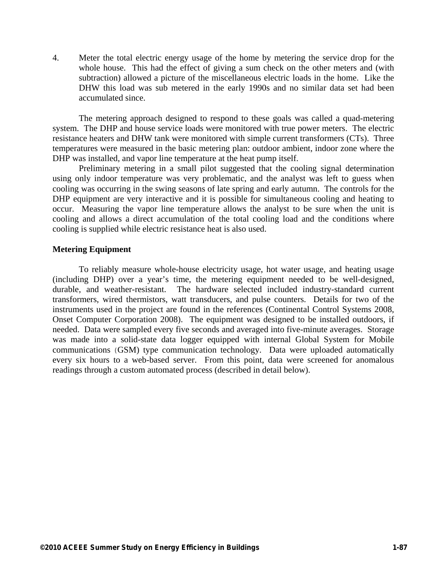4. Meter the total electric energy usage of the home by metering the service drop for the whole house. This had the effect of giving a sum check on the other meters and (with subtraction) allowed a picture of the miscellaneous electric loads in the home. Like the DHW this load was sub metered in the early 1990s and no similar data set had been accumulated since.

The metering approach designed to respond to these goals was called a quad-metering system. The DHP and house service loads were monitored with true power meters. The electric resistance heaters and DHW tank were monitored with simple current transformers (CTs). Three temperatures were measured in the basic metering plan: outdoor ambient, indoor zone where the DHP was installed, and vapor line temperature at the heat pump itself.

Preliminary metering in a small pilot suggested that the cooling signal determination using only indoor temperature was very problematic, and the analyst was left to guess when cooling was occurring in the swing seasons of late spring and early autumn. The controls for the DHP equipment are very interactive and it is possible for simultaneous cooling and heating to occur. Measuring the vapor line temperature allows the analyst to be sure when the unit is cooling and allows a direct accumulation of the total cooling load and the conditions where cooling is supplied while electric resistance heat is also used.

#### **Metering Equipment**

To reliably measure whole-house electricity usage, hot water usage, and heating usage (including DHP) over a year's time, the metering equipment needed to be well-designed, durable, and weather-resistant. The hardware selected included industry-standard current transformers, wired thermistors, watt transducers, and pulse counters. Details for two of the instruments used in the project are found in the references (Continental Control Systems 2008, Onset Computer Corporation 2008). The equipment was designed to be installed outdoors, if needed. Data were sampled every five seconds and averaged into five-minute averages. Storage was made into a solid-state data logger equipped with internal Global System for Mobile communications (GSM) type communication technology. Data were uploaded automatically every six hours to a web-based server. From this point, data were screened for anomalous readings through a custom automated process (described in detail below).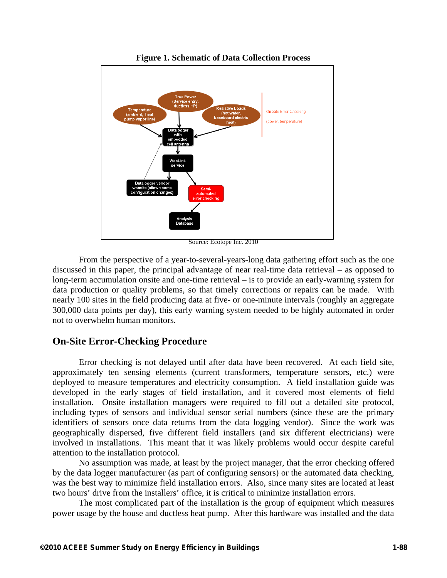

**Figure 1. Schematic of Data Collection Process** 

Source: Ecotope Inc. 2010

From the perspective of a year-to-several-years-long data gathering effort such as the one discussed in this paper, the principal advantage of near real-time data retrieval – as opposed to long-term accumulation onsite and one-time retrieval – is to provide an early-warning system for data production or quality problems, so that timely corrections or repairs can be made. With nearly 100 sites in the field producing data at five- or one-minute intervals (roughly an aggregate 300,000 data points per day), this early warning system needed to be highly automated in order not to overwhelm human monitors.

### **On-Site Error-Checking Procedure**

Error checking is not delayed until after data have been recovered. At each field site, approximately ten sensing elements (current transformers, temperature sensors, etc.) were deployed to measure temperatures and electricity consumption. A field installation guide was developed in the early stages of field installation, and it covered most elements of field installation. Onsite installation managers were required to fill out a detailed site protocol, including types of sensors and individual sensor serial numbers (since these are the primary identifiers of sensors once data returns from the data logging vendor). Since the work was geographically dispersed, five different field installers (and six different electricians) were involved in installations. This meant that it was likely problems would occur despite careful attention to the installation protocol.

No assumption was made, at least by the project manager, that the error checking offered by the data logger manufacturer (as part of configuring sensors) or the automated data checking, was the best way to minimize field installation errors. Also, since many sites are located at least two hours' drive from the installers' office, it is critical to minimize installation errors.

The most complicated part of the installation is the group of equipment which measures power usage by the house and ductless heat pump. After this hardware was installed and the data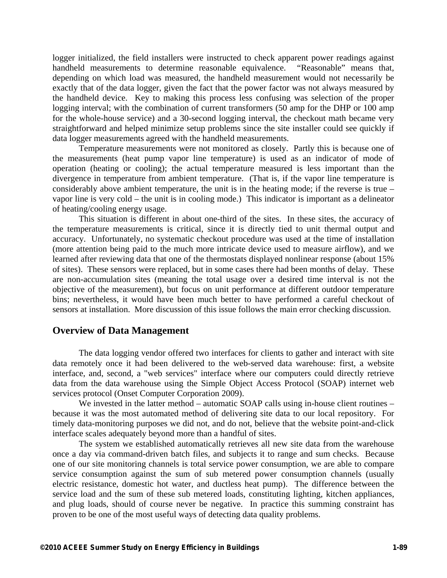logger initialized, the field installers were instructed to check apparent power readings against handheld measurements to determine reasonable equivalence. "Reasonable" means that, depending on which load was measured, the handheld measurement would not necessarily be exactly that of the data logger, given the fact that the power factor was not always measured by the handheld device. Key to making this process less confusing was selection of the proper logging interval; with the combination of current transformers (50 amp for the DHP or 100 amp for the whole-house service) and a 30-second logging interval, the checkout math became very straightforward and helped minimize setup problems since the site installer could see quickly if data logger measurements agreed with the handheld measurements.

Temperature measurements were not monitored as closely. Partly this is because one of the measurements (heat pump vapor line temperature) is used as an indicator of mode of operation (heating or cooling); the actual temperature measured is less important than the divergence in temperature from ambient temperature. (That is, if the vapor line temperature is considerably above ambient temperature, the unit is in the heating mode; if the reverse is true – vapor line is very cold – the unit is in cooling mode.) This indicator is important as a delineator of heating/cooling energy usage.

This situation is different in about one-third of the sites. In these sites, the accuracy of the temperature measurements is critical, since it is directly tied to unit thermal output and accuracy. Unfortunately, no systematic checkout procedure was used at the time of installation (more attention being paid to the much more intricate device used to measure airflow), and we learned after reviewing data that one of the thermostats displayed nonlinear response (about 15% of sites). These sensors were replaced, but in some cases there had been months of delay. These are non-accumulation sites (meaning the total usage over a desired time interval is not the objective of the measurement), but focus on unit performance at different outdoor temperature bins; nevertheless, it would have been much better to have performed a careful checkout of sensors at installation. More discussion of this issue follows the main error checking discussion.

### **Overview of Data Management**

The data logging vendor offered two interfaces for clients to gather and interact with site data remotely once it had been delivered to the web-served data warehouse: first, a website interface, and, second, a "web services" interface where our computers could directly retrieve data from the data warehouse using the Simple Object Access Protocol (SOAP) internet web services protocol (Onset Computer Corporation 2009).

We invested in the latter method – automatic SOAP calls using in-house client routines – because it was the most automated method of delivering site data to our local repository. For timely data-monitoring purposes we did not, and do not, believe that the website point-and-click interface scales adequately beyond more than a handful of sites.

The system we established automatically retrieves all new site data from the warehouse once a day via command-driven batch files, and subjects it to range and sum checks. Because one of our site monitoring channels is total service power consumption, we are able to compare service consumption against the sum of sub metered power consumption channels (usually electric resistance, domestic hot water, and ductless heat pump). The difference between the service load and the sum of these sub metered loads, constituting lighting, kitchen appliances, and plug loads, should of course never be negative. In practice this summing constraint has proven to be one of the most useful ways of detecting data quality problems.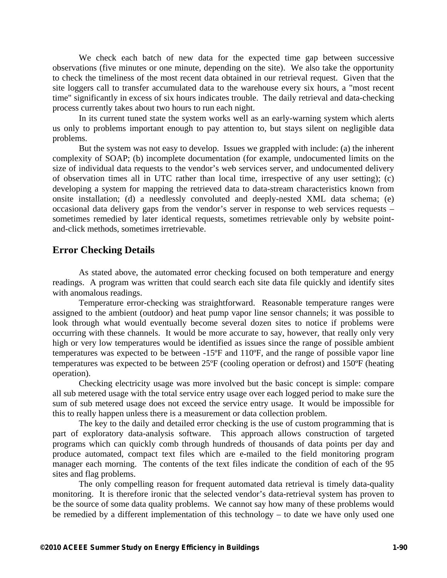We check each batch of new data for the expected time gap between successive observations (five minutes or one minute, depending on the site). We also take the opportunity to check the timeliness of the most recent data obtained in our retrieval request. Given that the site loggers call to transfer accumulated data to the warehouse every six hours, a "most recent time" significantly in excess of six hours indicates trouble. The daily retrieval and data-checking process currently takes about two hours to run each night.

In its current tuned state the system works well as an early-warning system which alerts us only to problems important enough to pay attention to, but stays silent on negligible data problems.

But the system was not easy to develop. Issues we grappled with include: (a) the inherent complexity of SOAP; (b) incomplete documentation (for example, undocumented limits on the size of individual data requests to the vendor's web services server, and undocumented delivery of observation times all in UTC rather than local time, irrespective of any user setting); (c) developing a system for mapping the retrieved data to data-stream characteristics known from onsite installation; (d) a needlessly convoluted and deeply-nested XML data schema; (e) occasional data delivery gaps from the vendor's server in response to web services requests – sometimes remedied by later identical requests, sometimes retrievable only by website pointand-click methods, sometimes irretrievable.

#### **Error Checking Details**

As stated above, the automated error checking focused on both temperature and energy readings. A program was written that could search each site data file quickly and identify sites with anomalous readings.

Temperature error-checking was straightforward. Reasonable temperature ranges were assigned to the ambient (outdoor) and heat pump vapor line sensor channels; it was possible to look through what would eventually become several dozen sites to notice if problems were occurring with these channels. It would be more accurate to say, however, that really only very high or very low temperatures would be identified as issues since the range of possible ambient temperatures was expected to be between -15ºF and 110ºF, and the range of possible vapor line temperatures was expected to be between 25ºF (cooling operation or defrost) and 150ºF (heating operation).

Checking electricity usage was more involved but the basic concept is simple: compare all sub metered usage with the total service entry usage over each logged period to make sure the sum of sub metered usage does not exceed the service entry usage. It would be impossible for this to really happen unless there is a measurement or data collection problem.

The key to the daily and detailed error checking is the use of custom programming that is part of exploratory data-analysis software. This approach allows construction of targeted programs which can quickly comb through hundreds of thousands of data points per day and produce automated, compact text files which are e-mailed to the field monitoring program manager each morning. The contents of the text files indicate the condition of each of the 95 sites and flag problems.

The only compelling reason for frequent automated data retrieval is timely data-quality monitoring. It is therefore ironic that the selected vendor's data-retrieval system has proven to be the source of some data quality problems. We cannot say how many of these problems would be remedied by a different implementation of this technology – to date we have only used one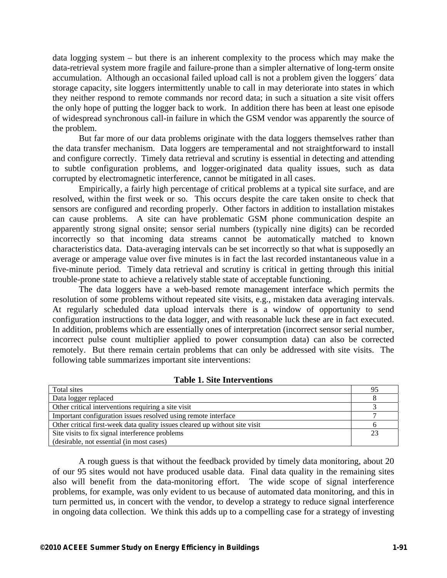data logging system – but there is an inherent complexity to the process which may make the data-retrieval system more fragile and failure-prone than a simpler alternative of long-term onsite accumulation. Although an occasional failed upload call is not a problem given the loggers´ data storage capacity, site loggers intermittently unable to call in may deteriorate into states in which they neither respond to remote commands nor record data; in such a situation a site visit offers the only hope of putting the logger back to work. In addition there has been at least one episode of widespread synchronous call-in failure in which the GSM vendor was apparently the source of the problem.

But far more of our data problems originate with the data loggers themselves rather than the data transfer mechanism. Data loggers are temperamental and not straightforward to install and configure correctly. Timely data retrieval and scrutiny is essential in detecting and attending to subtle configuration problems, and logger-originated data quality issues, such as data corrupted by electromagnetic interference, cannot be mitigated in all cases.

Empirically, a fairly high percentage of critical problems at a typical site surface, and are resolved, within the first week or so. This occurs despite the care taken onsite to check that sensors are configured and recording properly. Other factors in addition to installation mistakes can cause problems. A site can have problematic GSM phone communication despite an apparently strong signal onsite; sensor serial numbers (typically nine digits) can be recorded incorrectly so that incoming data streams cannot be automatically matched to known characteristics data. Data-averaging intervals can be set incorrectly so that what is supposedly an average or amperage value over five minutes is in fact the last recorded instantaneous value in a five-minute period. Timely data retrieval and scrutiny is critical in getting through this initial trouble-prone state to achieve a relatively stable state of acceptable functioning.

The data loggers have a web-based remote management interface which permits the resolution of some problems without repeated site visits, e.g., mistaken data averaging intervals. At regularly scheduled data upload intervals there is a window of opportunity to send configuration instructions to the data logger, and with reasonable luck these are in fact executed. In addition, problems which are essentially ones of interpretation (incorrect sensor serial number, incorrect pulse count multiplier applied to power consumption data) can also be corrected remotely. But there remain certain problems that can only be addressed with site visits. The following table summarizes important site interventions:

| Total sites                                                                 |  |  |
|-----------------------------------------------------------------------------|--|--|
| Data logger replaced                                                        |  |  |
| Other critical interventions requiring a site visit                         |  |  |
| Important configuration issues resolved using remote interface              |  |  |
| Other critical first-week data quality issues cleared up without site visit |  |  |
| Site visits to fix signal interference problems                             |  |  |
| (desirable, not essential (in most cases)                                   |  |  |

|  |  |  |  | <b>Table 1. Site Interventions</b> |
|--|--|--|--|------------------------------------|
|--|--|--|--|------------------------------------|

A rough guess is that without the feedback provided by timely data monitoring, about 20 of our 95 sites would not have produced usable data. Final data quality in the remaining sites also will benefit from the data-monitoring effort. The wide scope of signal interference problems, for example, was only evident to us because of automated data monitoring, and this in turn permitted us, in concert with the vendor, to develop a strategy to reduce signal interference in ongoing data collection. We think this adds up to a compelling case for a strategy of investing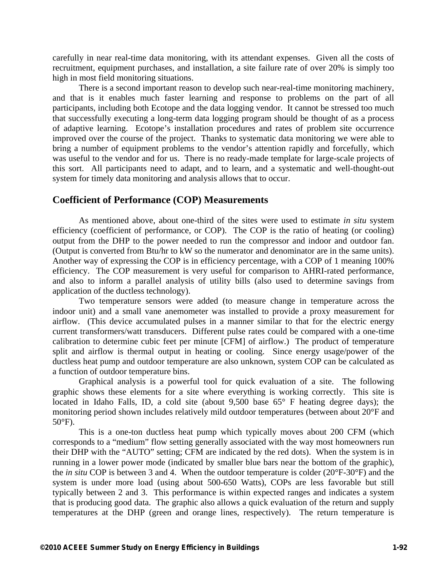carefully in near real-time data monitoring, with its attendant expenses. Given all the costs of recruitment, equipment purchases, and installation, a site failure rate of over 20% is simply too high in most field monitoring situations.

There is a second important reason to develop such near-real-time monitoring machinery, and that is it enables much faster learning and response to problems on the part of all participants, including both Ecotope and the data logging vendor. It cannot be stressed too much that successfully executing a long-term data logging program should be thought of as a process of adaptive learning. Ecotope's installation procedures and rates of problem site occurrence improved over the course of the project. Thanks to systematic data monitoring we were able to bring a number of equipment problems to the vendor's attention rapidly and forcefully, which was useful to the vendor and for us. There is no ready-made template for large-scale projects of this sort. All participants need to adapt, and to learn, and a systematic and well-thought-out system for timely data monitoring and analysis allows that to occur.

#### **Coefficient of Performance (COP) Measurements**

As mentioned above, about one-third of the sites were used to estimate *in situ* system efficiency (coefficient of performance, or COP). The COP is the ratio of heating (or cooling) output from the DHP to the power needed to run the compressor and indoor and outdoor fan. (Output is converted from Btu/hr to kW so the numerator and denominator are in the same units). Another way of expressing the COP is in efficiency percentage, with a COP of 1 meaning 100% efficiency. The COP measurement is very useful for comparison to AHRI-rated performance, and also to inform a parallel analysis of utility bills (also used to determine savings from application of the ductless technology).

Two temperature sensors were added (to measure change in temperature across the indoor unit) and a small vane anemometer was installed to provide a proxy measurement for airflow. (This device accumulated pulses in a manner similar to that for the electric energy current transformers/watt transducers. Different pulse rates could be compared with a one-time calibration to determine cubic feet per minute [CFM] of airflow.) The product of temperature split and airflow is thermal output in heating or cooling. Since energy usage/power of the ductless heat pump and outdoor temperature are also unknown, system COP can be calculated as a function of outdoor temperature bins.

Graphical analysis is a powerful tool for quick evaluation of a site. The following graphic shows these elements for a site where everything is working correctly. This site is located in Idaho Falls, ID, a cold site (about 9,500 base 65° F heating degree days); the monitoring period shown includes relatively mild outdoor temperatures (between about 20°F and 50°F).

This is a one-ton ductless heat pump which typically moves about 200 CFM (which corresponds to a "medium" flow setting generally associated with the way most homeowners run their DHP with the "AUTO" setting; CFM are indicated by the red dots). When the system is in running in a lower power mode (indicated by smaller blue bars near the bottom of the graphic), the *in situ* COP is between 3 and 4. When the outdoor temperature is colder (20°F-30°F) and the system is under more load (using about 500-650 Watts), COPs are less favorable but still typically between 2 and 3. This performance is within expected ranges and indicates a system that is producing good data. The graphic also allows a quick evaluation of the return and supply temperatures at the DHP (green and orange lines, respectively). The return temperature is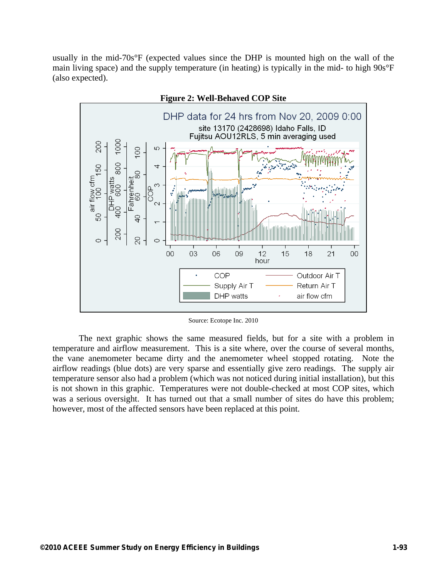usually in the mid-70s°F (expected values since the DHP is mounted high on the wall of the main living space) and the supply temperature (in heating) is typically in the mid- to high 90s°F (also expected).



**Figure 2: Well-Behaved COP Site** 

Source: Ecotope Inc. 2010

The next graphic shows the same measured fields, but for a site with a problem in temperature and airflow measurement. This is a site where, over the course of several months, the vane anemometer became dirty and the anemometer wheel stopped rotating. Note the airflow readings (blue dots) are very sparse and essentially give zero readings. The supply air temperature sensor also had a problem (which was not noticed during initial installation), but this is not shown in this graphic. Temperatures were not double-checked at most COP sites, which was a serious oversight. It has turned out that a small number of sites do have this problem; however, most of the affected sensors have been replaced at this point.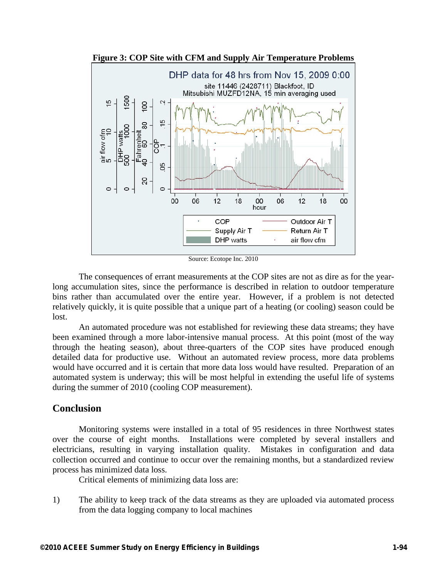

**Figure 3: COP Site with CFM and Supply Air Temperature Problems** 

Source: Ecotope Inc. 2010

The consequences of errant measurements at the COP sites are not as dire as for the yearlong accumulation sites, since the performance is described in relation to outdoor temperature bins rather than accumulated over the entire year. However, if a problem is not detected relatively quickly, it is quite possible that a unique part of a heating (or cooling) season could be lost.

An automated procedure was not established for reviewing these data streams; they have been examined through a more labor-intensive manual process. At this point (most of the way through the heating season), about three-quarters of the COP sites have produced enough detailed data for productive use. Without an automated review process, more data problems would have occurred and it is certain that more data loss would have resulted. Preparation of an automated system is underway; this will be most helpful in extending the useful life of systems during the summer of 2010 (cooling COP measurement).

### **Conclusion**

Monitoring systems were installed in a total of 95 residences in three Northwest states over the course of eight months. Installations were completed by several installers and electricians, resulting in varying installation quality. Mistakes in configuration and data collection occurred and continue to occur over the remaining months, but a standardized review process has minimized data loss.

Critical elements of minimizing data loss are:

1) The ability to keep track of the data streams as they are uploaded via automated process from the data logging company to local machines